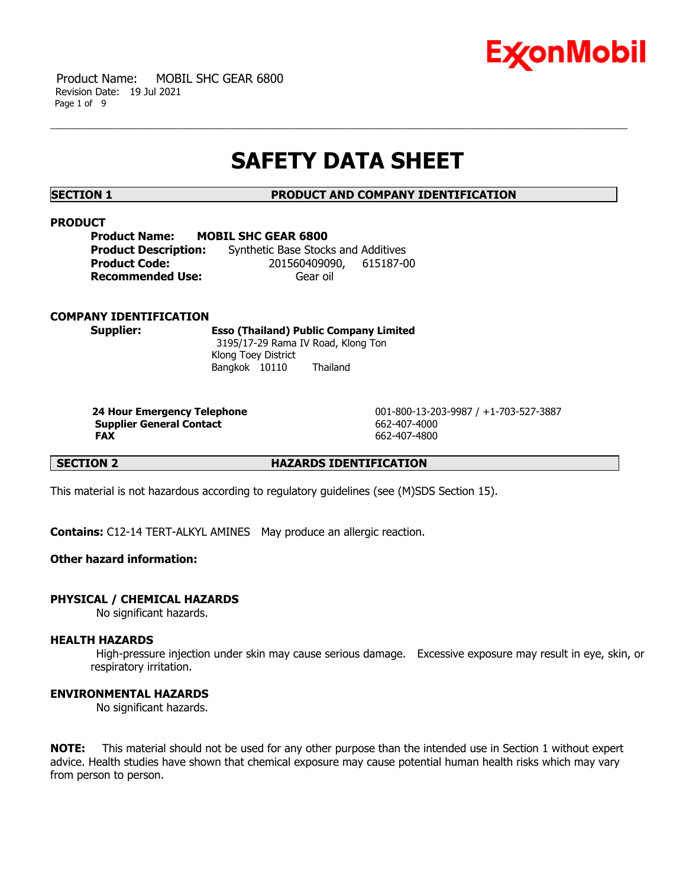

 Product Name: MOBIL SHC GEAR 6800 Revision Date: 19 Jul 2021 Page 1 of 9

# **SAFETY DATA SHEET**

**SECTION 1 PRODUCT AND COMPANY IDENTIFICATION**

#### **PRODUCT**

| <b>Product Name:</b>        | <b>MOBIL SHC GEAR 6800</b>          |  |
|-----------------------------|-------------------------------------|--|
| <b>Product Description:</b> | Synthetic Base Stocks and Additives |  |
| <b>Product Code:</b>        | 201560409090, 615187-00             |  |
| <b>Recommended Use:</b>     | Gear oil                            |  |

#### **COMPANY IDENTIFICATION**

**Supplier: Esso (Thailand) Public Company Limited** 3195/17-29 Rama IV Road, Klong Ton Klong Toey District Bangkok 10110 Thailand

**Supplier General Contact** 662-407-4000 **FAX** 662-407-4800

**24 Hour Emergency Telephone** 001-800-13-203-9987 / +1-703-527-3887

**SECTION 2 HAZARDS IDENTIFICATION**

This material is not hazardous according to regulatory guidelines (see (M)SDS Section 15).

**Contains:** C12-14 TERT-ALKYL AMINES May produce an allergic reaction.

#### **Other hazard information:**

#### **PHYSICAL / CHEMICAL HAZARDS**

No significant hazards.

## **HEALTH HAZARDS**

High-pressure injection under skin may cause serious damage. Excessive exposure may result in eye, skin, or respiratory irritation.

#### **ENVIRONMENTAL HAZARDS**

No significant hazards.

**NOTE:** This material should not be used for any other purpose than the intended use in Section 1 without expert advice. Health studies have shown that chemical exposure may cause potential human health risks which may vary from person to person.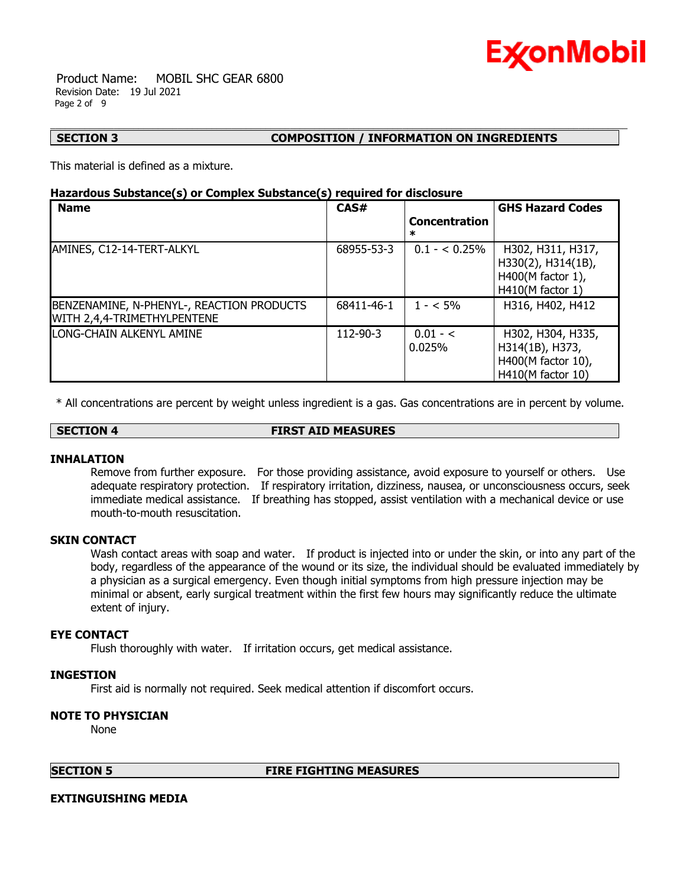

 Product Name: MOBIL SHC GEAR 6800 Revision Date: 19 Jul 2021 Page 2 of 9

#### **SECTION 3 COMPOSITION / INFORMATION ON INGREDIENTS**

This material is defined as a mixture.

### **Hazardous Substance(s) or Complex Substance(s) required for disclosure**

| <b>Name</b>                                                              | CAS#           | <b>Concentration</b><br>ж | <b>GHS Hazard Codes</b>                                                            |
|--------------------------------------------------------------------------|----------------|---------------------------|------------------------------------------------------------------------------------|
| AMINES, C12-14-TERT-ALKYL                                                | 68955-53-3     | $0.1 - 0.25\%$            | H302, H311, H317,<br>H330(2), H314(1B),<br>H400(M factor 1),<br>$H410(M$ factor 1) |
| BENZENAMINE, N-PHENYL-, REACTION PRODUCTS<br>WITH 2,4,4-TRIMETHYLPENTENE | 68411-46-1     | $1 - 5\%$                 | H316, H402, H412                                                                   |
| LONG-CHAIN ALKENYL AMINE                                                 | $112 - 90 - 3$ | $0.01 - C$<br>0.025%      | H302, H304, H335,<br>H314(1B), H373,<br>H400(M factor 10),<br>H410(M factor 10)    |

\* All concentrations are percent by weight unless ingredient is a gas. Gas concentrations are in percent by volume.

**SECTION 4 FIRST AID MEASURES**

#### **INHALATION**

Remove from further exposure. For those providing assistance, avoid exposure to yourself or others. Use adequate respiratory protection. If respiratory irritation, dizziness, nausea, or unconsciousness occurs, seek immediate medical assistance. If breathing has stopped, assist ventilation with a mechanical device or use mouth-to-mouth resuscitation.

### **SKIN CONTACT**

Wash contact areas with soap and water. If product is injected into or under the skin, or into any part of the body, regardless of the appearance of the wound or its size, the individual should be evaluated immediately by a physician as a surgical emergency. Even though initial symptoms from high pressure injection may be minimal or absent, early surgical treatment within the first few hours may significantly reduce the ultimate extent of injury.

#### **EYE CONTACT**

Flush thoroughly with water. If irritation occurs, get medical assistance.

#### **INGESTION**

First aid is normally not required. Seek medical attention if discomfort occurs.

### **NOTE TO PHYSICIAN**

None

# **SECTION 5 FIRE FIGHTING MEASURES**

#### **EXTINGUISHING MEDIA**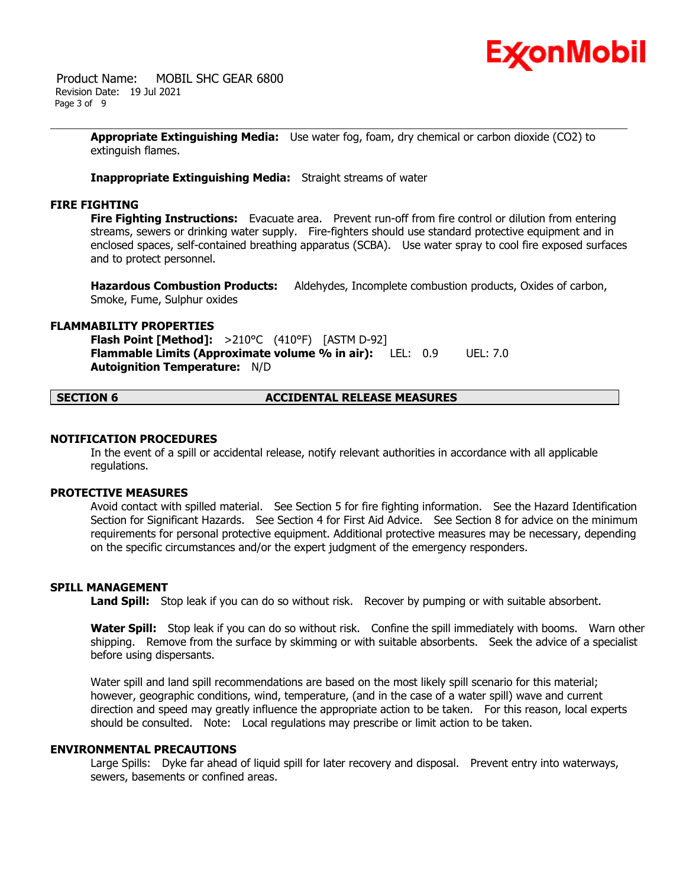

 Product Name: MOBIL SHC GEAR 6800 Revision Date: 19 Jul 2021 Page 3 of 9

> **Appropriate Extinguishing Media:** Use water fog, foam, dry chemical or carbon dioxide (CO2) to extinguish flames.

**Inappropriate Extinguishing Media:** Straight streams of water

# **FIRE FIGHTING**

**Fire Fighting Instructions:** Evacuate area. Prevent run-off from fire control or dilution from entering streams, sewers or drinking water supply. Fire-fighters should use standard protective equipment and in enclosed spaces, self-contained breathing apparatus (SCBA). Use water spray to cool fire exposed surfaces and to protect personnel.

**Hazardous Combustion Products:** Aldehydes, Incomplete combustion products, Oxides of carbon, Smoke, Fume, Sulphur oxides

#### **FLAMMABILITY PROPERTIES**

**Flash Point [Method]:** >210°C (410°F) [ASTM D-92] **Flammable Limits (Approximate volume % in air):** LEL: 0.9 UEL: 7.0 **Autoignition Temperature:** N/D

**SECTION 6 ACCIDENTAL RELEASE MEASURES**

### **NOTIFICATION PROCEDURES**

In the event of a spill or accidental release, notify relevant authorities in accordance with all applicable regulations.

#### **PROTECTIVE MEASURES**

Avoid contact with spilled material. See Section 5 for fire fighting information. See the Hazard Identification Section for Significant Hazards. See Section 4 for First Aid Advice. See Section 8 for advice on the minimum requirements for personal protective equipment. Additional protective measures may be necessary, depending on the specific circumstances and/or the expert judgment of the emergency responders.

# **SPILL MANAGEMENT**

**Land Spill:** Stop leak if you can do so without risk. Recover by pumping or with suitable absorbent.

**Water Spill:** Stop leak if you can do so without risk. Confine the spill immediately with booms. Warn other shipping. Remove from the surface by skimming or with suitable absorbents. Seek the advice of a specialist before using dispersants.

Water spill and land spill recommendations are based on the most likely spill scenario for this material; however, geographic conditions, wind, temperature, (and in the case of a water spill) wave and current direction and speed may greatly influence the appropriate action to be taken. For this reason, local experts should be consulted. Note: Local regulations may prescribe or limit action to be taken.

#### **ENVIRONMENTAL PRECAUTIONS**

Large Spills: Dyke far ahead of liquid spill for later recovery and disposal. Prevent entry into waterways, sewers, basements or confined areas.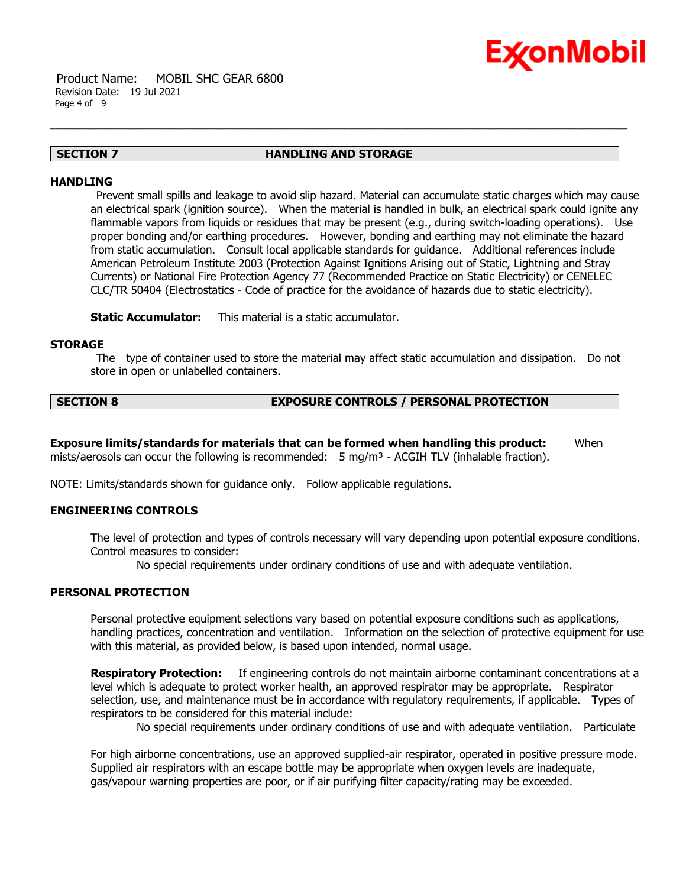

### **SECTION 7 HANDLING AND STORAGE**

#### **HANDLING**

Prevent small spills and leakage to avoid slip hazard. Material can accumulate static charges which may cause an electrical spark (ignition source). When the material is handled in bulk, an electrical spark could ignite any flammable vapors from liquids or residues that may be present (e.g., during switch-loading operations). Use proper bonding and/or earthing procedures. However, bonding and earthing may not eliminate the hazard from static accumulation. Consult local applicable standards for guidance. Additional references include American Petroleum Institute 2003 (Protection Against Ignitions Arising out of Static, Lightning and Stray Currents) or National Fire Protection Agency 77 (Recommended Practice on Static Electricity) or CENELEC CLC/TR 50404 (Electrostatics - Code of practice for the avoidance of hazards due to static electricity).

**Static Accumulator:** This material is a static accumulator.

#### **STORAGE**

The type of container used to store the material may affect static accumulation and dissipation. Do not store in open or unlabelled containers.

# **SECTION 8 EXPOSURE CONTROLS / PERSONAL PROTECTION**

**Exposure limits/standards for materials that can be formed when handling this product:** When mists/aerosols can occur the following is recommended:  $5 \text{ mg/m}^3$  - ACGIH TLV (inhalable fraction).

NOTE: Limits/standards shown for guidance only. Follow applicable regulations.

### **ENGINEERING CONTROLS**

The level of protection and types of controls necessary will vary depending upon potential exposure conditions. Control measures to consider:

No special requirements under ordinary conditions of use and with adequate ventilation.

# **PERSONAL PROTECTION**

Personal protective equipment selections vary based on potential exposure conditions such as applications, handling practices, concentration and ventilation. Information on the selection of protective equipment for use with this material, as provided below, is based upon intended, normal usage.

**Respiratory Protection:** If engineering controls do not maintain airborne contaminant concentrations at a level which is adequate to protect worker health, an approved respirator may be appropriate. Respirator selection, use, and maintenance must be in accordance with regulatory requirements, if applicable. Types of respirators to be considered for this material include:

No special requirements under ordinary conditions of use and with adequate ventilation. Particulate

For high airborne concentrations, use an approved supplied-air respirator, operated in positive pressure mode. Supplied air respirators with an escape bottle may be appropriate when oxygen levels are inadequate, gas/vapour warning properties are poor, or if air purifying filter capacity/rating may be exceeded.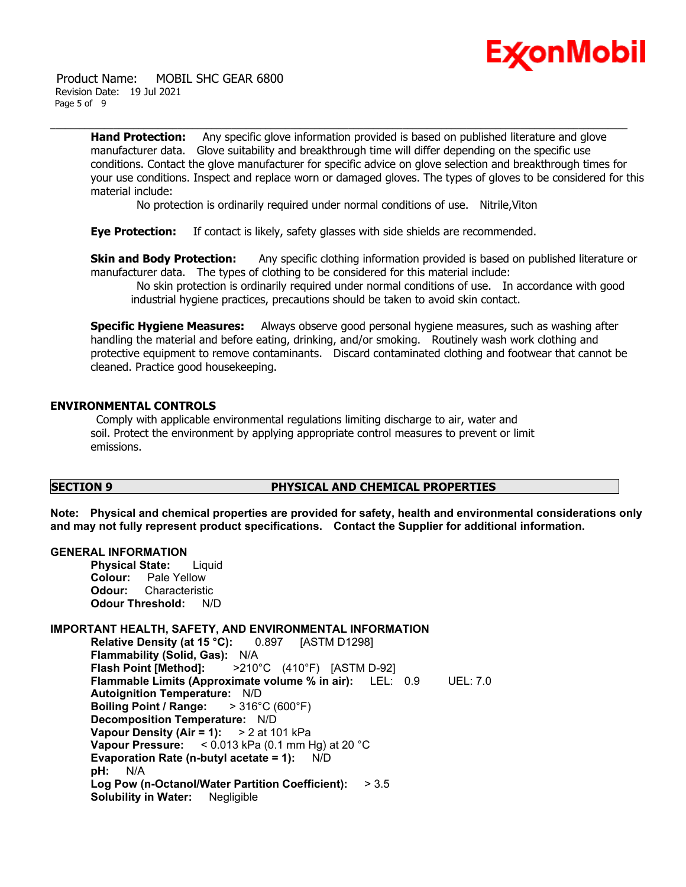

 Product Name: MOBIL SHC GEAR 6800 Revision Date: 19 Jul 2021 Page 5 of 9

> **Hand Protection:** Any specific glove information provided is based on published literature and glove manufacturer data. Glove suitability and breakthrough time will differ depending on the specific use conditions. Contact the glove manufacturer for specific advice on glove selection and breakthrough times for your use conditions. Inspect and replace worn or damaged gloves. The types of gloves to be considered for this material include:

No protection is ordinarily required under normal conditions of use. Nitrile,Viton

**Eye Protection:** If contact is likely, safety glasses with side shields are recommended.

**Skin and Body Protection:** Any specific clothing information provided is based on published literature or manufacturer data. The types of clothing to be considered for this material include:

No skin protection is ordinarily required under normal conditions of use. In accordance with good industrial hygiene practices, precautions should be taken to avoid skin contact.

**Specific Hygiene Measures:** Always observe good personal hygiene measures, such as washing after handling the material and before eating, drinking, and/or smoking. Routinely wash work clothing and protective equipment to remove contaminants. Discard contaminated clothing and footwear that cannot be cleaned. Practice good housekeeping.

### **ENVIRONMENTAL CONTROLS**

Comply with applicable environmental regulations limiting discharge to air, water and soil. Protect the environment by applying appropriate control measures to prevent or limit emissions.

# **SECTION 9 PHYSICAL AND CHEMICAL PROPERTIES**

**Note: Physical and chemical properties are provided for safety, health and environmental considerations only and may not fully represent product specifications. Contact the Supplier for additional information.**

#### **GENERAL INFORMATION**

**Physical State:** Liquid **Colour:** Pale Yellow **Odour:** Characteristic **Odour Threshold:** N/D

#### **IMPORTANT HEALTH, SAFETY, AND ENVIRONMENTAL INFORMATION**

**Relative Density (at 15 °C):** 0.897 [ASTM D1298] **Flammability (Solid, Gas):** N/A **Flash Point [Method]:** >210°C (410°F) [ASTM D-92] **Flammable Limits (Approximate volume % in air):** LEL: 0.9 UEL: 7.0 **Autoignition Temperature:** N/D **Boiling Point / Range:** > 316°C (600°F) **Decomposition Temperature:** N/D **Vapour Density (Air = 1):** > 2 at 101 kPa **Vapour Pressure:** < 0.013 kPa (0.1 mm Hg) at 20 °C **Evaporation Rate (n-butyl acetate = 1):** N/D **pH:** N/A **Log Pow (n-Octanol/Water Partition Coefficient):** > 3.5 **Solubility in Water:** Negligible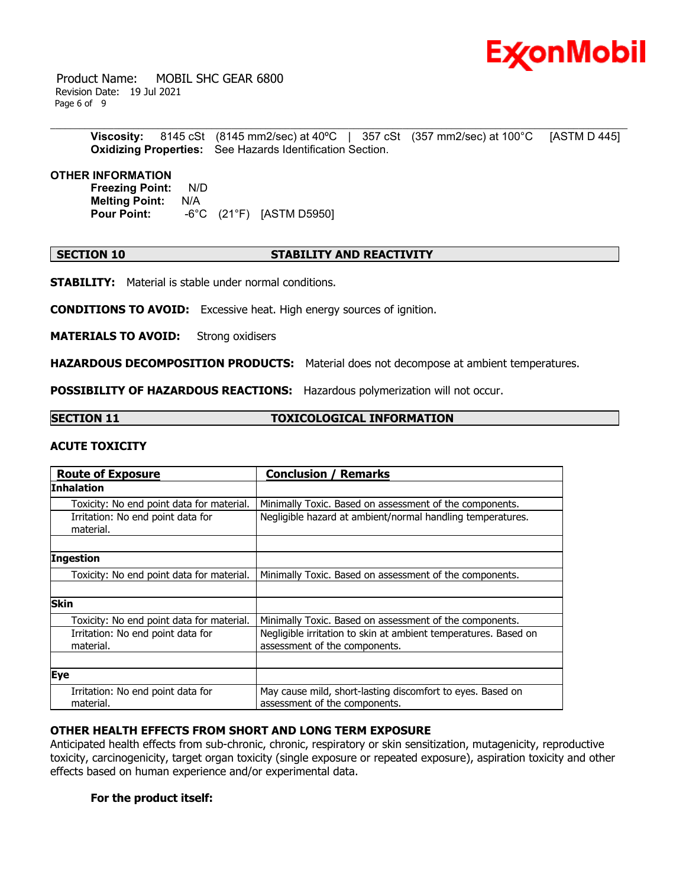

 Product Name: MOBIL SHC GEAR 6800 Revision Date: 19 Jul 2021 Page 6 of 9

> **Viscosity:** 8145 cSt (8145 mm2/sec) at 40ºC | 357 cSt (357 mm2/sec) at 100°C [ASTM D 445] **Oxidizing Properties:** See Hazards Identification Section.

#### **OTHER INFORMATION**

**Freezing Point:** N/D **Melting Point:** N/A **Pour Point:** -6°C (21°F) [ASTM D5950]

# **SECTION 10 STABILITY AND REACTIVITY**

**STABILITY:** Material is stable under normal conditions.

**CONDITIONS TO AVOID:** Excessive heat. High energy sources of ignition.

**MATERIALS TO AVOID:** Strong oxidisers

**HAZARDOUS DECOMPOSITION PRODUCTS:** Material does not decompose at ambient temperatures.

**POSSIBILITY OF HAZARDOUS REACTIONS:** Hazardous polymerization will not occur.

# **SECTION 11 TOXICOLOGICAL INFORMATION**

#### **ACUTE TOXICITY**

| <b>Route of Exposure</b>                       | <b>Conclusion / Remarks</b>                                                                      |  |  |
|------------------------------------------------|--------------------------------------------------------------------------------------------------|--|--|
| <b>Inhalation</b>                              |                                                                                                  |  |  |
| Toxicity: No end point data for material.      | Minimally Toxic. Based on assessment of the components.                                          |  |  |
| Irritation: No end point data for<br>material. | Negligible hazard at ambient/normal handling temperatures.                                       |  |  |
|                                                |                                                                                                  |  |  |
| <b>Ingestion</b>                               |                                                                                                  |  |  |
| Toxicity: No end point data for material.      | Minimally Toxic. Based on assessment of the components.                                          |  |  |
|                                                |                                                                                                  |  |  |
| <b>Skin</b>                                    |                                                                                                  |  |  |
| Toxicity: No end point data for material.      | Minimally Toxic. Based on assessment of the components.                                          |  |  |
| Irritation: No end point data for<br>material. | Negligible irritation to skin at ambient temperatures. Based on<br>assessment of the components. |  |  |
|                                                |                                                                                                  |  |  |
| Eye                                            |                                                                                                  |  |  |
| Irritation: No end point data for<br>material. | May cause mild, short-lasting discomfort to eyes. Based on<br>assessment of the components.      |  |  |

#### **OTHER HEALTH EFFECTS FROM SHORT AND LONG TERM EXPOSURE**

Anticipated health effects from sub-chronic, chronic, respiratory or skin sensitization, mutagenicity, reproductive toxicity, carcinogenicity, target organ toxicity (single exposure or repeated exposure), aspiration toxicity and other effects based on human experience and/or experimental data.

#### **For the product itself:**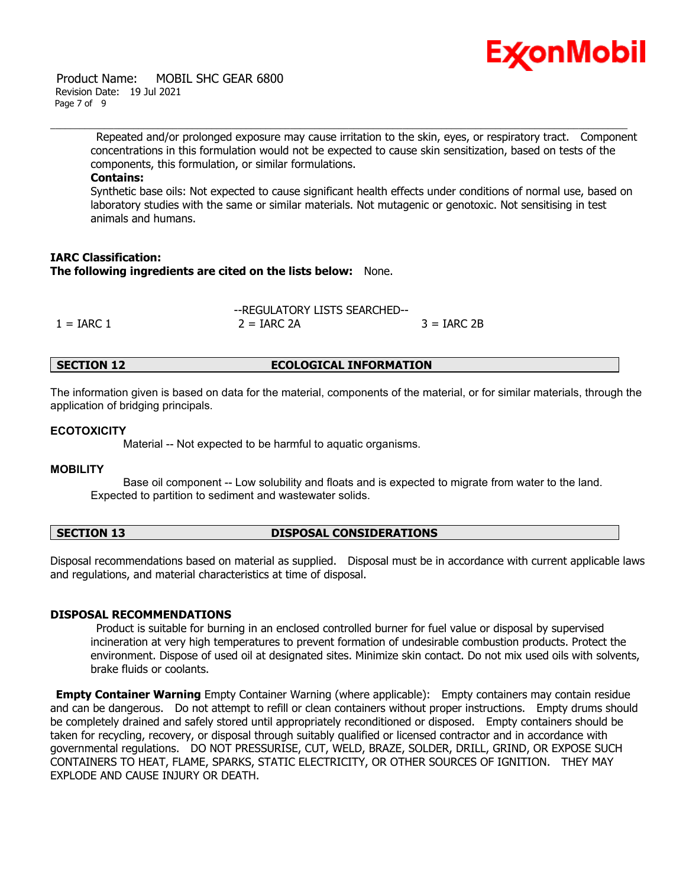

#### Product Name: MOBIL SHC GEAR 6800 Revision Date: 19 Jul 2021 Page 7 of 9

Repeated and/or prolonged exposure may cause irritation to the skin, eyes, or respiratory tract. Component concentrations in this formulation would not be expected to cause skin sensitization, based on tests of the components, this formulation, or similar formulations.

### **Contains:**

Synthetic base oils: Not expected to cause significant health effects under conditions of normal use, based on laboratory studies with the same or similar materials. Not mutagenic or genotoxic. Not sensitising in test animals and humans.

# **IARC Classification: The following ingredients are cited on the lists below:** None.

|              | --REGULATORY LISTS SEARCHED-- |               |  |
|--------------|-------------------------------|---------------|--|
| $1 = IARC 1$ | $2 = IARC 2A$                 | $3 = IARC 2B$ |  |

# **SECTION 12 ECOLOGICAL INFORMATION**

The information given is based on data for the material, components of the material, or for similar materials, through the application of bridging principals.

#### **ECOTOXICITY**

Material -- Not expected to be harmful to aquatic organisms.

#### **MOBILITY**

 Base oil component -- Low solubility and floats and is expected to migrate from water to the land. Expected to partition to sediment and wastewater solids.

# **SECTION 13 DISPOSAL CONSIDERATIONS**

Disposal recommendations based on material as supplied. Disposal must be in accordance with current applicable laws and regulations, and material characteristics at time of disposal.

#### **DISPOSAL RECOMMENDATIONS**

Product is suitable for burning in an enclosed controlled burner for fuel value or disposal by supervised incineration at very high temperatures to prevent formation of undesirable combustion products. Protect the environment. Dispose of used oil at designated sites. Minimize skin contact. Do not mix used oils with solvents, brake fluids or coolants.

**Empty Container Warning** Empty Container Warning (where applicable): Empty containers may contain residue and can be dangerous. Do not attempt to refill or clean containers without proper instructions. Empty drums should be completely drained and safely stored until appropriately reconditioned or disposed. Empty containers should be taken for recycling, recovery, or disposal through suitably qualified or licensed contractor and in accordance with governmental regulations. DO NOT PRESSURISE, CUT, WELD, BRAZE, SOLDER, DRILL, GRIND, OR EXPOSE SUCH CONTAINERS TO HEAT, FLAME, SPARKS, STATIC ELECTRICITY, OR OTHER SOURCES OF IGNITION. THEY MAY EXPLODE AND CAUSE INJURY OR DEATH.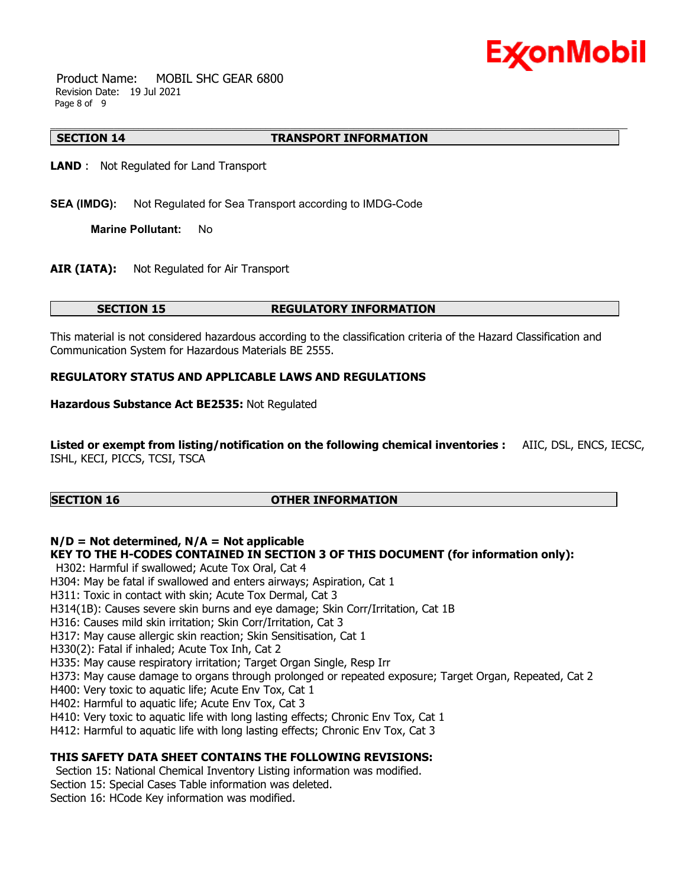

 Product Name: MOBIL SHC GEAR 6800 Revision Date: 19 Jul 2021 Page 8 of 9

#### **SECTION 14 TRANSPORT INFORMATION**

**LAND** : Not Regulated for Land Transport

**SEA (IMDG):** Not Regulated for Sea Transport according to IMDG-Code

**Marine Pollutant:** No

**AIR (IATA):** Not Regulated for Air Transport

#### **SECTION 15 REGULATORY INFORMATION**

This material is not considered hazardous according to the classification criteria of the Hazard Classification and Communication System for Hazardous Materials BE 2555.

#### **REGULATORY STATUS AND APPLICABLE LAWS AND REGULATIONS**

**Hazardous Substance Act BE2535:** Not Regulated

**Listed or exempt from listing/notification on the following chemical inventories :** AIIC, DSL, ENCS, IECSC, ISHL, KECI, PICCS, TCSI, TSCA

# **SECTION 16 OTHER INFORMATION**

# **N/D = Not determined, N/A = Not applicable**

#### **KEY TO THE H-CODES CONTAINED IN SECTION 3 OF THIS DOCUMENT (for information only):**

H302: Harmful if swallowed; Acute Tox Oral, Cat 4

H304: May be fatal if swallowed and enters airways; Aspiration, Cat 1

H311: Toxic in contact with skin; Acute Tox Dermal, Cat 3

H314(1B): Causes severe skin burns and eye damage; Skin Corr/Irritation, Cat 1B

H316: Causes mild skin irritation; Skin Corr/Irritation, Cat 3

H317: May cause allergic skin reaction; Skin Sensitisation, Cat 1

H330(2): Fatal if inhaled; Acute Tox Inh, Cat 2

H335: May cause respiratory irritation; Target Organ Single, Resp Irr

H373: May cause damage to organs through prolonged or repeated exposure; Target Organ, Repeated, Cat 2

H400: Very toxic to aquatic life; Acute Env Tox, Cat 1

H402: Harmful to aquatic life; Acute Env Tox, Cat 3

H410: Very toxic to aquatic life with long lasting effects; Chronic Env Tox, Cat 1

H412: Harmful to aquatic life with long lasting effects; Chronic Env Tox, Cat 3

# **THIS SAFETY DATA SHEET CONTAINS THE FOLLOWING REVISIONS:**

Section 15: National Chemical Inventory Listing information was modified. Section 15: Special Cases Table information was deleted. Section 16: HCode Key information was modified.